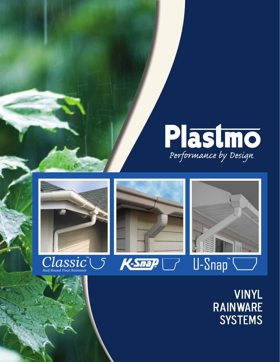









### Vinyl Rainware **SYSTEMS**

e de la provincia<br>Contra de la provincia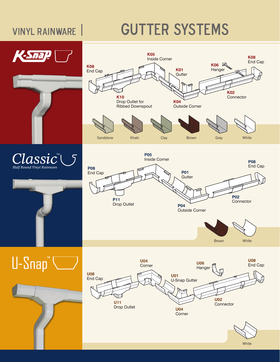## VINYL RAINWARE | GUTTER SYSTEMS





Brown White

**P02 Connector** 

**U02 Connector U08** End Cap **U04 Corner U01** U-Snap Gutter Corner **U06 Hanger** 

**P04**

Outside Corner



**K08**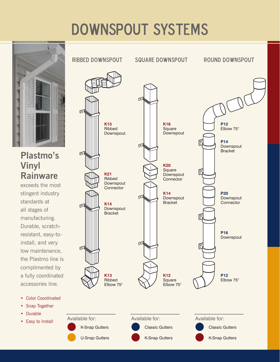# DOWNSPOUT systems



#### **Plastmo's Vinyl Rainware**

exceeds the most stingent industry standards at all stages of manufacturing. Durable, scratchresistant, easy-toinstall, and very low maintenance, the Plastmo line is complimented by a fully coordinated accessories line.

• Color Coordinated • Snap Together

• Durable

• Easy to Install

Ribbed downspout square downspout round downspout  $\sqrt{n}$ **K15 K16 P12** Square Elbow 75° Ribbed **Downspout** Downspout **P14** 匠 Downspout **Bracket K20** Square **Downspout K21** Ribbed Connector Downspout Connector **K14 P20** 匠 Downspout **Downspout Bracket Connector K14** Downspout **Bracket P16** Downspout 厄  $\sqrt{2}$ **K13 K12 P12** Ribbed **Square** Elbow 75° Elbow 75° Elbow 75° Available for: Available for: Available for: K-Snap Gutters Classic Gutters Classic GuttersU-Snap Gutters **K-Snap Gutters** K-Snap Gutters